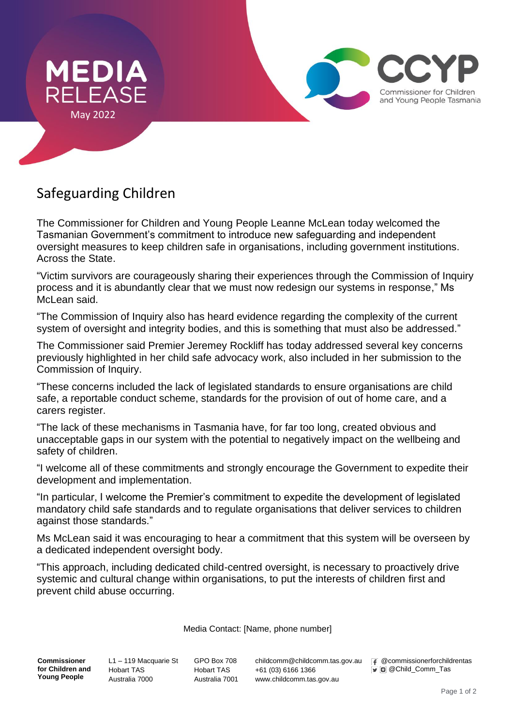

## Safeguarding Children

The Commissioner for Children and Young People Leanne McLean today welcomed the Tasmanian Government's commitment to introduce new safeguarding and independent oversight measures to keep children safe in organisations, including government institutions. Across the State.

"Victim survivors are courageously sharing their experiences through the Commission of Inquiry process and it is abundantly clear that we must now redesign our systems in response," Ms McLean said.

"The Commission of Inquiry also has heard evidence regarding the complexity of the current system of oversight and integrity bodies, and this is something that must also be addressed."

The Commissioner said Premier Jeremey Rockliff has today addressed several key concerns previously highlighted in her child safe advocacy work, also included in her submission to the Commission of Inquiry.

"These concerns included the lack of legislated standards to ensure organisations are child safe, a reportable conduct scheme, standards for the provision of out of home care, and a carers register.

"The lack of these mechanisms in Tasmania have, for far too long, created obvious and unacceptable gaps in our system with the potential to negatively impact on the wellbeing and safety of children.

"I welcome all of these commitments and strongly encourage the Government to expedite their development and implementation.

"In particular, I welcome the Premier's commitment to expedite the development of legislated mandatory child safe standards and to regulate organisations that deliver services to children against those standards."

Ms McLean said it was encouraging to hear a commitment that this system will be overseen by a dedicated independent oversight body.

"This approach, including dedicated child-centred oversight, is necessary to proactively drive systemic and cultural change within organisations, to put the interests of children first and prevent child abuse occurring.

Media Contact: [Name, phone number]

**Commissioner for Children and Young People**

L1 – 119 Macquarie St Hobart TAS Australia 7000

GPO Box 708 Hobart TAS Australia 7001 childcomm@childcomm.tas.gov.au +61 (03) 6166 1366 www.childcomm.tas.gov.au

F @commissionerforchildrentas  $\bullet$  @ Child\_Comm\_Tas

Commissioner for Children and Young People Tasmania